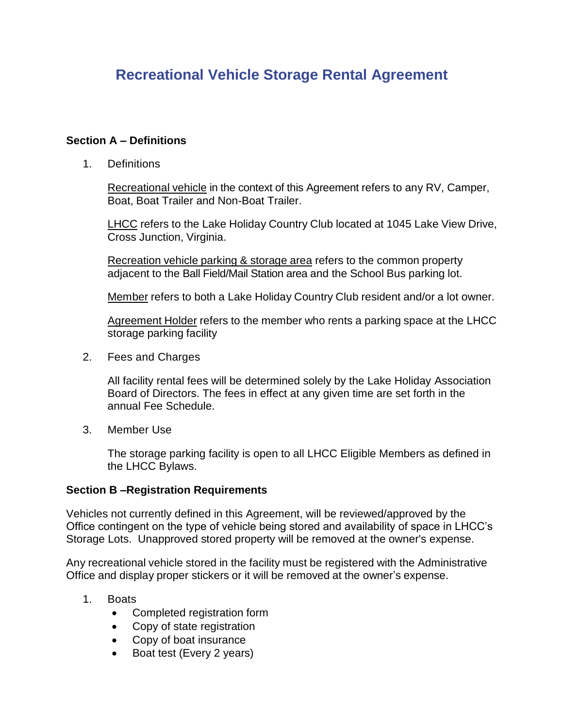# **Recreational Vehicle Storage Rental Agreement**

# **Section A – Definitions**

1. Definitions

Recreational vehicle in the context of this Agreement refers to any RV, Camper, Boat, Boat Trailer and Non-Boat Trailer.

LHCC refers to the Lake Holiday Country Club located at 1045 Lake View Drive, Cross Junction, Virginia.

Recreation vehicle parking & storage area refers to the common property adjacent to the Ball Field/Mail Station area and the School Bus parking lot.

Member refers to both a Lake Holiday Country Club resident and/or a lot owner.

Agreement Holder refers to the member who rents a parking space at the LHCC storage parking facility

2. Fees and Charges

All facility rental fees will be determined solely by the Lake Holiday Association Board of Directors. The fees in effect at any given time are set forth in the annual Fee Schedule.

3. Member Use

The storage parking facility is open to all LHCC Eligible Members as defined in the LHCC Bylaws.

## **Section B –Registration Requirements**

Vehicles not currently defined in this Agreement, will be reviewed/approved by the Office contingent on the type of vehicle being stored and availability of space in LHCC's Storage Lots. Unapproved stored property will be removed at the owner's expense.

Any recreational vehicle stored in the facility must be registered with the Administrative Office and display proper stickers or it will be removed at the owner's expense.

- 1. Boats
	- Completed registration form
	- Copy of state registration
	- Copy of boat insurance
	- Boat test (Every 2 years)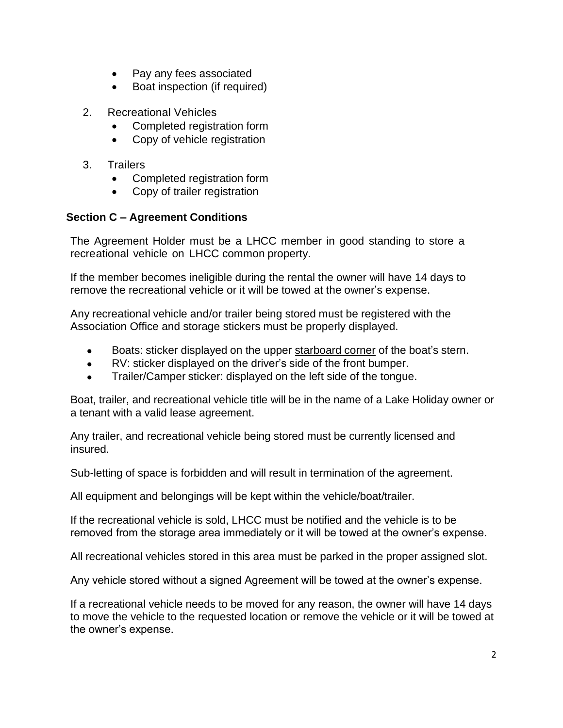- Pay any fees associated
- Boat inspection (if required)
- 2. Recreational Vehicles
	- Completed registration form
	- Copy of vehicle registration
- 3. Trailers
	- Completed registration form
	- Copy of trailer registration

# **Section C – Agreement Conditions**

The Agreement Holder must be a LHCC member in good standing to store a recreational vehicle on LHCC common property.

If the member becomes ineligible during the rental the owner will have 14 days to remove the recreational vehicle or it will be towed at the owner's expense.

Any recreational vehicle and/or trailer being stored must be registered with the Association Office and storage stickers must be properly displayed.

- Boats: sticker displayed on the upper starboard corner of the boat's stern.
- RV: sticker displayed on the driver's side of the front bumper.
- Trailer/Camper sticker: displayed on the left side of the tongue.

Boat, trailer, and recreational vehicle title will be in the name of a Lake Holiday owner or a tenant with a valid lease agreement.

Any trailer, and recreational vehicle being stored must be currently licensed and insured.

Sub-letting of space is forbidden and will result in termination of the agreement.

All equipment and belongings will be kept within the vehicle/boat/trailer.

If the recreational vehicle is sold, LHCC must be notified and the vehicle is to be removed from the storage area immediately or it will be towed at the owner's expense.

All recreational vehicles stored in this area must be parked in the proper assigned slot.

Any vehicle stored without a signed Agreement will be towed at the owner's expense.

If a recreational vehicle needs to be moved for any reason, the owner will have 14 days to move the vehicle to the requested location or remove the vehicle or it will be towed at the owner's expense.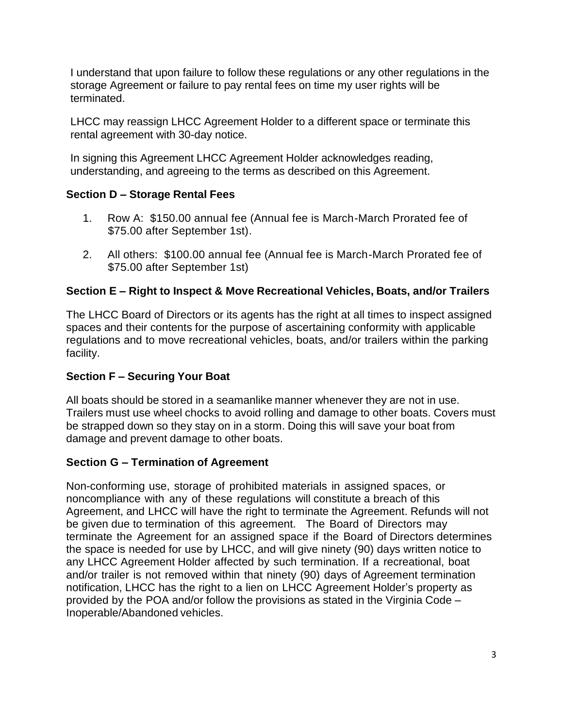I understand that upon failure to follow these regulations or any other regulations in the storage Agreement or failure to pay rental fees on time my user rights will be terminated.

LHCC may reassign LHCC Agreement Holder to a different space or terminate this rental agreement with 30-day notice.

In signing this Agreement LHCC Agreement Holder acknowledges reading, understanding, and agreeing to the terms as described on this Agreement.

# **Section D – Storage Rental Fees**

- 1. Row A: \$150.00 annual fee (Annual fee is March-March Prorated fee of \$75.00 after September 1st).
- 2. All others: \$100.00 annual fee (Annual fee is March-March Prorated fee of \$75.00 after September 1st)

# **Section E – Right to Inspect & Move Recreational Vehicles, Boats, and/or Trailers**

The LHCC Board of Directors or its agents has the right at all times to inspect assigned spaces and their contents for the purpose of ascertaining conformity with applicable regulations and to move recreational vehicles, boats, and/or trailers within the parking facility.

# **Section F – Securing Your Boat**

All boats should be stored in a seamanlike manner whenever they are not in use. Trailers must use wheel chocks to avoid rolling and damage to other boats. Covers must be strapped down so they stay on in a storm. Doing this will save your boat from damage and prevent damage to other boats.

# **Section G – Termination of Agreement**

Non-conforming use, storage of prohibited materials in assigned spaces, or noncompliance with any of these regulations will constitute a breach of this Agreement, and LHCC will have the right to terminate the Agreement. Refunds will not be given due to termination of this agreement. The Board of Directors may terminate the Agreement for an assigned space if the Board of Directors determines the space is needed for use by LHCC, and will give ninety (90) days written notice to any LHCC Agreement Holder affected by such termination. If a recreational, boat and/or trailer is not removed within that ninety (90) days of Agreement termination notification, LHCC has the right to a lien on LHCC Agreement Holder's property as provided by the POA and/or follow the provisions as stated in the Virginia Code – Inoperable/Abandoned vehicles.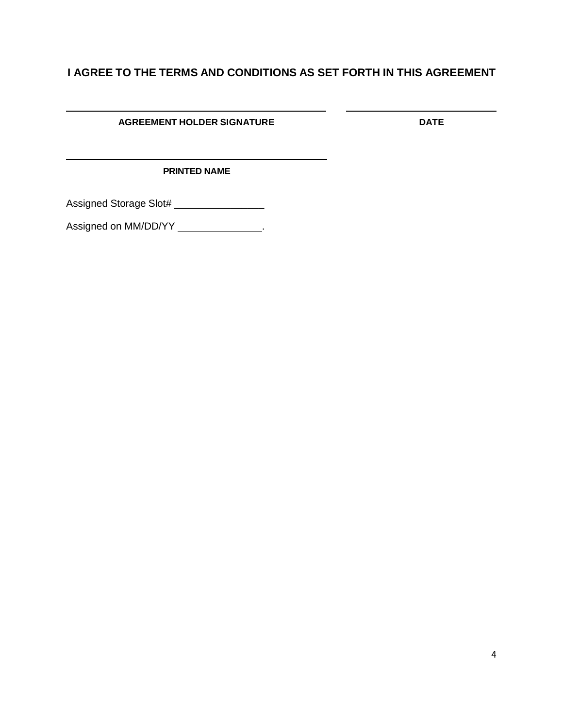# **I AGREE TO THE TERMS AND CONDITIONS AS SET FORTH IN THIS AGREEMENT**

 $\overline{\phantom{a}}$ 

### **AGREEMENT HOLDER SIGNATURE DATE**

### **PRINTED NAME**

Assigned Storage Slot# \_\_\_\_\_\_\_\_\_\_\_\_\_\_\_\_\_\_\_

Assigned on MM/DD/YY \_\_\_\_\_\_\_\_\_\_\_\_\_\_\_\_.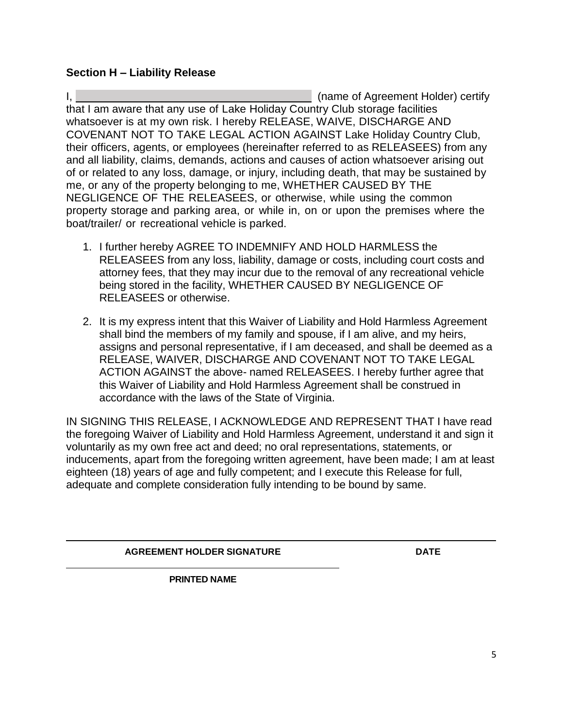## **Section H – Liability Release**

I, (name of Agreement Holder) certify that I am aware that any use of Lake Holiday Country Club storage facilities whatsoever is at my own risk. I hereby RELEASE, WAIVE, DISCHARGE AND COVENANT NOT TO TAKE LEGAL ACTION AGAINST Lake Holiday Country Club, their officers, agents, or employees (hereinafter referred to as RELEASEES) from any and all liability, claims, demands, actions and causes of action whatsoever arising out of or related to any loss, damage, or injury, including death, that may be sustained by me, or any of the property belonging to me, WHETHER CAUSED BY THE NEGLIGENCE OF THE RELEASEES, or otherwise, while using the common property storage and parking area, or while in, on or upon the premises where the boat/trailer/ or recreational vehicle is parked.

- 1. I further hereby AGREE TO INDEMNIFY AND HOLD HARMLESS the RELEASEES from any loss, liability, damage or costs, including court costs and attorney fees, that they may incur due to the removal of any recreational vehicle being stored in the facility, WHETHER CAUSED BY NEGLIGENCE OF RELEASEES or otherwise.
- 2. It is my express intent that this Waiver of Liability and Hold Harmless Agreement shall bind the members of my family and spouse, if I am alive, and my heirs, assigns and personal representative, if I am deceased, and shall be deemed as a RELEASE, WAIVER, DISCHARGE AND COVENANT NOT TO TAKE LEGAL ACTION AGAINST the above- named RELEASEES. I hereby further agree that this Waiver of Liability and Hold Harmless Agreement shall be construed in accordance with the laws of the State of Virginia.

IN SIGNING THIS RELEASE, I ACKNOWLEDGE AND REPRESENT THAT I have read the foregoing Waiver of Liability and Hold Harmless Agreement, understand it and sign it voluntarily as my own free act and deed; no oral representations, statements, or inducements, apart from the foregoing written agreement, have been made; I am at least eighteen (18) years of age and fully competent; and I execute this Release for full, adequate and complete consideration fully intending to be bound by same.

**AGREEMENT HOLDER SIGNATURE DATE**

**PRINTED NAME**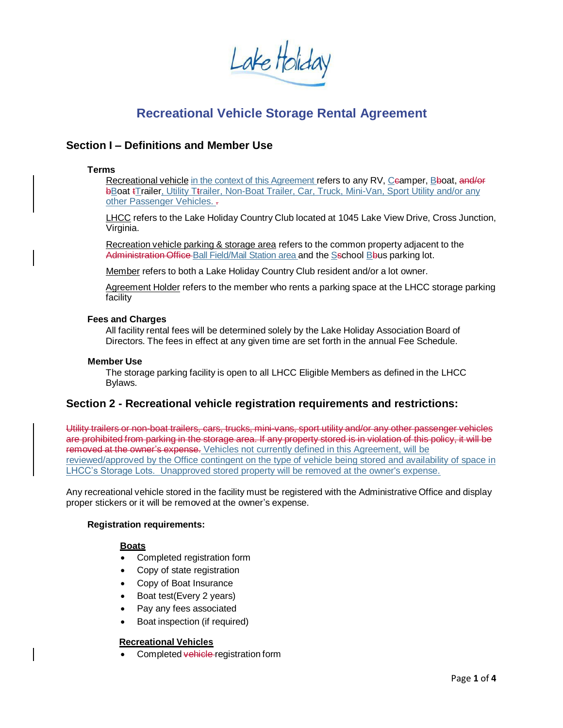Lake Holiday

# **Recreational Vehicle Storage Rental Agreement**

### **Section I – Definitions and Member Use**

#### **Terms**

Recreational vehicle in the context of this Agreement refers to any RV, Ceamper, Bboat, and/or bBoat tTrailer, Utility Ttrailer, Non-Boat Trailer, Car, Truck, Mini-Van, Sport Utility and/or any other Passenger Vehicles. -

LHCC refers to the Lake Holiday Country Club located at 1045 Lake View Drive, Cross Junction, Virginia.

Recreation vehicle parking & storage area refers to the common property adjacent to the Administration Office Ball Field/Mail Station area and the Sschool Bbus parking lot.

Member refers to both a Lake Holiday Country Club resident and/or a lot owner.

Agreement Holder refers to the member who rents a parking space at the LHCC storage parking facility

#### **Fees and Charges**

All facility rental fees will be determined solely by the Lake Holiday Association Board of Directors. The fees in effect at any given time are set forth in the annual Fee Schedule.

#### **Member Use**

The storage parking facility is open to all LHCC Eligible Members as defined in the LHCC Bylaws.

### **Section 2 - Recreational vehicle registration requirements and restrictions:**

Utility trailers or non-boat trailers, cars, trucks, mini-vans, sport utility and/or any other passenger vehicles are prohibited from parking in the storage area. If any property stored is in violation of this policy, it will be removed at the owner's expense. Vehicles not currently defined in this Agreement, will be reviewed/approved by the Office contingent on the type of vehicle being stored and availability of space in LHCC's Storage Lots. Unapproved stored property will be removed at the owner's expense.

Any recreational vehicle stored in the facility must be registered with the Administrative Office and display proper stickers or it will be removed at the owner's expense.

#### **Registration requirements:**

#### **Boats**

- Completed registration form
- Copy of state registration
- Copy of Boat Insurance
- Boat test(Every 2 years)
- Pay any fees associated
- Boat inspection (if required)

#### **Recreational Vehicles**

Completed vehicle registration form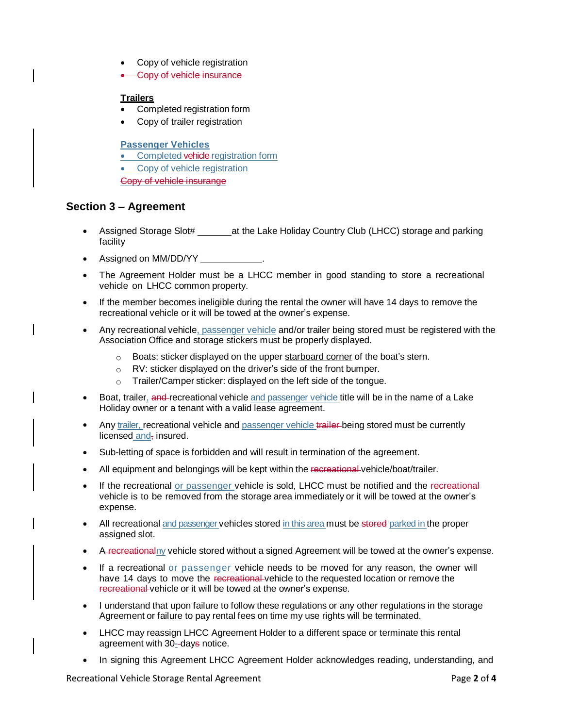- Copy of vehicle registration
- Copy of vehicle insurance

#### **Trailers**

- Completed registration form
- Copy of trailer registration

#### **Passenger Vehicles**

- Completed vehicle registration form
- Copy of vehicle registration
- Copy of vehicle insurange

### **Section 3 – Agreement**

- Assigned Storage Slot# \_\_\_\_\_\_\_\_\_\_\_\_\_at the Lake Holiday Country Club (LHCC) storage and parking facility
- Assigned on MM/DD/YY \_\_\_\_\_\_\_\_\_
- The Agreement Holder must be a LHCC member in good standing to store a recreational vehicle on LHCC common property.
- If the member becomes ineligible during the rental the owner will have 14 days to remove the recreational vehicle or it will be towed at the owner's expense.
- Any recreational vehicle, passenger vehicle and/or trailer being stored must be registered with the Association Office and storage stickers must be properly displayed.
	- $\circ$  Boats: sticker displayed on the upper starboard corner of the boat's stern.
	- o RV: sticker displayed on the driver's side of the front bumper.
	- $\circ$  Trailer/Camper sticker: displayed on the left side of the tongue.
- Boat, trailer, and recreational vehicle and passenger vehicle title will be in the name of a Lake Holiday owner or a tenant with a valid lease agreement.
- Any trailer, recreational vehicle and passenger vehicle trailer-being stored must be currently licensed and, insured.
- Sub-letting of space is forbidden and will result in termination of the agreement.
- All equipment and belongings will be kept within the recreational vehicle/boat/trailer.
- If the recreational or passenger vehicle is sold, LHCC must be notified and the recreational vehicle is to be removed from the storage area immediately or it will be towed at the owner's expense.
- All recreational and passenger vehicles stored in this area must be stored parked in the proper assigned slot.
- A recreationalny vehicle stored without a signed Agreement will be towed at the owner's expense.
- If a recreational or passenger vehicle needs to be moved for any reason, the owner will have 14 days to move the recreational vehicle to the requested location or remove the recreational vehicle or it will be towed at the owner's expense.
- I understand that upon failure to follow these regulations or any other regulations in the storage Agreement or failure to pay rental fees on time my use rights will be terminated.
- LHCC may reassign LHCC Agreement Holder to a different space or terminate this rental agreement with 30--days notice.
- In signing this Agreement LHCC Agreement Holder acknowledges reading, understanding, and

Recreational Vehicle Storage Rental Agreement Page **2** of **4**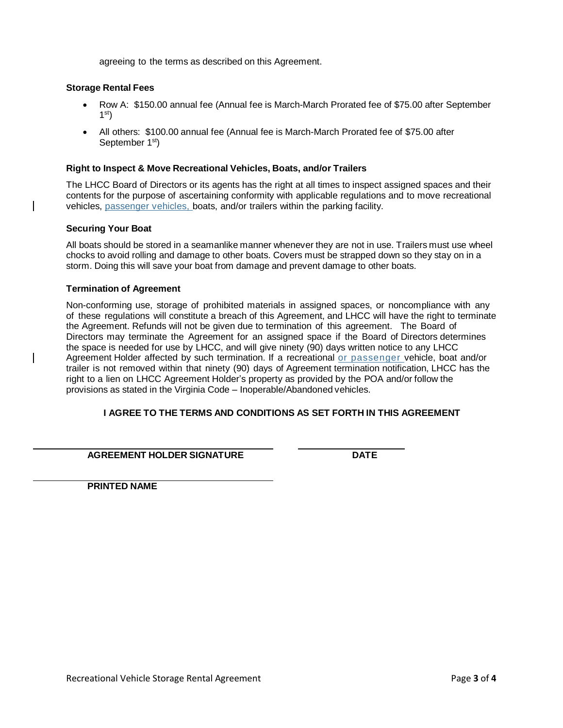agreeing to the terms as described on this Agreement.

#### **Storage Rental Fees**

- Row A: \$150.00 annual fee (Annual fee is March-March Prorated fee of \$75.00 after September 1 st)
- All others: \$100.00 annual fee (Annual fee is March-March Prorated fee of \$75.00 after September 1<sup>st</sup>)

#### **Right to Inspect & Move Recreational Vehicles, Boats, and/or Trailers**

The LHCC Board of Directors or its agents has the right at all times to inspect assigned spaces and their contents for the purpose of ascertaining conformity with applicable regulations and to move recreational vehicles, passenger vehicles, boats, and/or trailers within the parking facility.

#### **Securing Your Boat**

All boats should be stored in a seamanlike manner whenever they are not in use. Trailers must use wheel chocks to avoid rolling and damage to other boats. Covers must be strapped down so they stay on in a storm. Doing this will save your boat from damage and prevent damage to other boats.

#### **Termination of Agreement**

Non-conforming use, storage of prohibited materials in assigned spaces, or noncompliance with any of these regulations will constitute a breach of this Agreement, and LHCC will have the right to terminate the Agreement. Refunds will not be given due to termination of this agreement. The Board of Directors may terminate the Agreement for an assigned space if the Board of Directors determines the space is needed for use by LHCC, and will give ninety (90) days written notice to any LHCC Agreement Holder affected by such termination. If a recreational or passenger vehicle, boat and/or trailer is not removed within that ninety (90) days of Agreement termination notification, LHCC has the right to a lien on LHCC Agreement Holder's property as provided by the POA and/or follow the provisions as stated in the Virginia Code – Inoperable/Abandoned vehicles.

#### **I AGREE TO THE TERMS AND CONDITIONS AS SET FORTH IN THIS AGREEMENT**

**AGREEMENT HOLDER SIGNATURE DATE**

**PRINTED NAME**